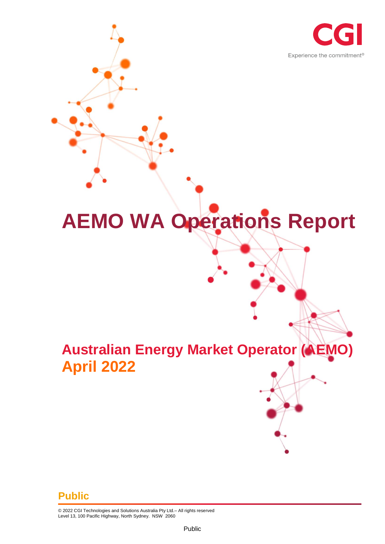

# **AEMO WA Operations Report**

## **Australian Energy Market Operator (AEMO) April 2022**

#### **Public**

© 2022 CGI Technologies and Solutions Australia Pty Ltd.– All rights reserved Level 13, 100 Pacific Highway, North Sydney. NSW 2060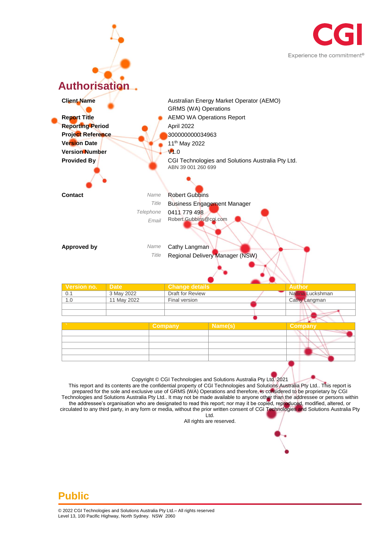



prepared for the sole and exclusive use of GRMS (WA) Operations and therefore, is considered to be proprietary by CGI Technologies and Solutions Australia Pty Ltd.. It may not be made available to anyone other than the addressee or persons within the addressee's organisation who are designated to read this report; nor may it be copied, reproduced, modified, altered, or circulated to any third party, in any form or media, without the prior written consent of CGI Technologies and Solutions Australia Pty Ltd.

All rights are reserved.

#### **Public**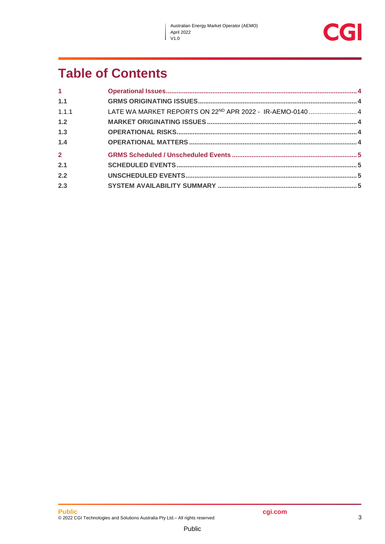$\overline{\phantom{a}}$ 



## **Table of Contents**

| 1.1                                                                            |  |
|--------------------------------------------------------------------------------|--|
| LATE WA MARKET REPORTS ON 22 <sup>ND</sup> APR 2022 - IR-AEMO-0140  4<br>1.1.1 |  |
| 1.2                                                                            |  |
| 1.3                                                                            |  |
| 1.4                                                                            |  |
| $\overline{2}$                                                                 |  |
| 2.1                                                                            |  |
| 2.2                                                                            |  |
| 2.3                                                                            |  |

Public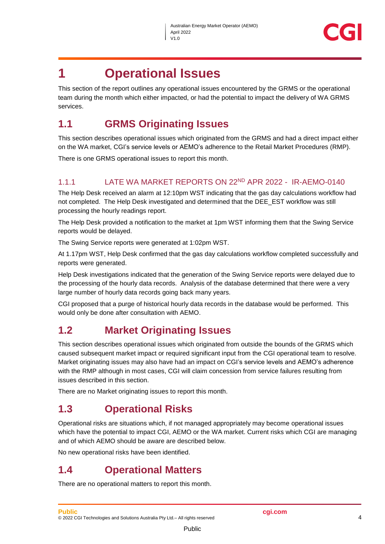

### <span id="page-3-0"></span>**1 Operational Issues**

This section of the report outlines any operational issues encountered by the GRMS or the operational team during the month which either impacted, or had the potential to impact the delivery of WA GRMS services.

#### <span id="page-3-1"></span>**1.1 GRMS Originating Issues**

This section describes operational issues which originated from the GRMS and had a direct impact either on the WA market, CGI's service levels or AEMO's adherence to the Retail Market Procedures (RMP).

There is one GRMS operational issues to report this month.

#### <span id="page-3-2"></span>1.1.1 LATE WA MARKET REPORTS ON 22ND APR 2022 - IR-AEMO-0140

The Help Desk received an alarm at 12:10pm WST indicating that the gas day calculations workflow had not completed. The Help Desk investigated and determined that the DEE\_EST workflow was still processing the hourly readings report.

The Help Desk provided a notification to the market at 1pm WST informing them that the Swing Service reports would be delayed.

The Swing Service reports were generated at 1:02pm WST.

At 1.17pm WST, Help Desk confirmed that the gas day calculations workflow completed successfully and reports were generated.

Help Desk investigations indicated that the generation of the Swing Service reports were delayed due to the processing of the hourly data records. Analysis of the database determined that there were a very large number of hourly data records going back many years.

CGI proposed that a purge of historical hourly data records in the database would be performed. This would only be done after consultation with AEMO.

#### <span id="page-3-3"></span>**1.2 Market Originating Issues**

This section describes operational issues which originated from outside the bounds of the GRMS which caused subsequent market impact or required significant input from the CGI operational team to resolve. Market originating issues may also have had an impact on CGI's service levels and AEMO's adherence with the RMP although in most cases, CGI will claim concession from service failures resulting from issues described in this section.

There are no Market originating issues to report this month.

#### <span id="page-3-4"></span>**1.3 Operational Risks**

Operational risks are situations which, if not managed appropriately may become operational issues which have the potential to impact CGI, AEMO or the WA market. Current risks which CGI are managing and of which AEMO should be aware are described below.

No new operational risks have been identified.

#### <span id="page-3-5"></span>**1.4 Operational Matters**

There are no operational matters to report this month.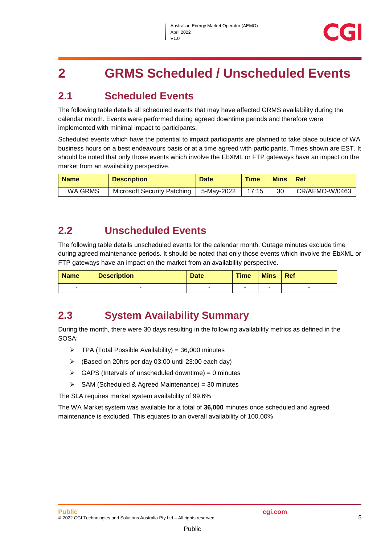## <span id="page-4-0"></span>**2 GRMS Scheduled / Unscheduled Events**

#### <span id="page-4-1"></span>**2.1 Scheduled Events**

The following table details all scheduled events that may have affected GRMS availability during the calendar month. Events were performed during agreed downtime periods and therefore were implemented with minimal impact to participants.

Scheduled events which have the potential to impact participants are planned to take place outside of WA business hours on a best endeavours basis or at a time agreed with participants. Times shown are EST. It should be noted that only those events which involve the EbXML or FTP gateways have an impact on the market from an availability perspective.

| <b>Name</b> | <b>Description</b>          | <b>Date</b> | <b>Time</b> | <b>Mins</b> | ⊩Ref           |
|-------------|-----------------------------|-------------|-------------|-------------|----------------|
| WA GRMS     | Microsoft Security Patching | 5-May-2022  | 17:15       | 30          | CR/AEMO-W/0463 |

#### <span id="page-4-2"></span>**2.2 Unscheduled Events**

The following table details unscheduled events for the calendar month. Outage minutes exclude time during agreed maintenance periods. It should be noted that only those events which involve the EbXML or FTP gateways have an impact on the market from an availability perspective.

| <b>Name</b> | <b>Description</b> | <b>Date</b> | <b>Time</b> | <b>Mins</b> | Ref |
|-------------|--------------------|-------------|-------------|-------------|-----|
| -           |                    |             |             |             | -   |

#### <span id="page-4-3"></span>**2.3 System Availability Summary**

During the month, there were 30 days resulting in the following availability metrics as defined in the SOSA:

- $\triangleright$  TPA (Total Possible Availability) = 36,000 minutes
- (Based on 20hrs per day 03:00 until 23:00 each day)
- $\triangleright$  GAPS (Intervals of unscheduled downtime) = 0 minutes
- $\triangleright$  SAM (Scheduled & Agreed Maintenance) = 30 minutes

The SLA requires market system availability of 99.6%

The WA Market system was available for a total of **36,000** minutes once scheduled and agreed maintenance is excluded. This equates to an overall availability of 100.00%